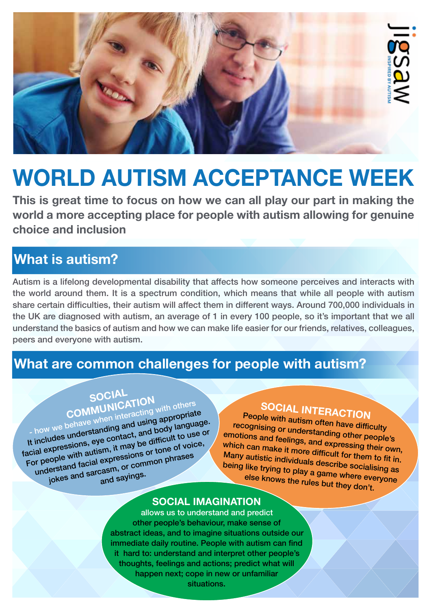

## **WORLD AUTISM ACCEPTANCE WEEK**

**This is great time to focus on how we can all play our part in making the world a more accepting place for people with autism allowing for genuine choice and inclusion** 

## **What is autism?**

Autism is a lifelong developmental disability that affects how someone perceives and interacts with the world around them. It is a spectrum condition, which means that while all people with autism share certain difficulties, their autism will affect them in different ways. Around 700,000 individuals in the UK are diagnosed with autism, an average of 1 in every 100 people, so it's important that we all understand the basics of autism and how we can make life easier for our friends, relatives, colleagues, peers and everyone with autism.

## **What are common challenges for people with autism?**

# **SOCIAL**<br>COMMUNICATION

- how we behave when interacting with others It includes understanding and using appropriate facial expressions, eye contact, and body language. For people with autism, it may be difficult to use or understand facial expressions or tone of voice, ople with addexpressions of the phrases<br>erstand facial expressions of common phrases<br>jokes and sarcasm, or common phrases

## **SOCIAL INTERACTION**

People with autism often have difficulty recognising or understanding other people's emotions and feelings, and expressing their own, which can make it more difficult for them to fit in. Many autistic individuals describe socialising as being like trying to play a game where everyone else knows the rules but they don't.

#### **SOCIAL IMAGINATION**

allows us to understand and predict other people's behaviour, make sense of abstract ideas, and to imagine situations outside our immediate daily routine. People with autism can find it hard to: understand and interpret other people's thoughts, feelings and actions; predict what will happen next; cope in new or unfamiliar situations.